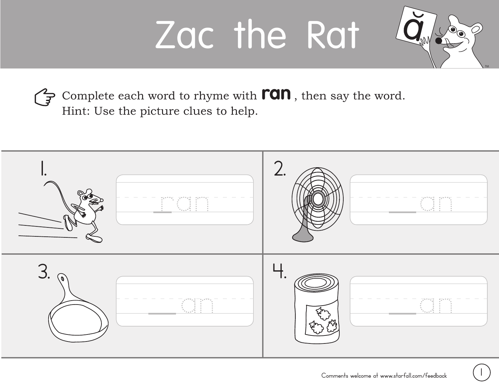## Zac the Rat



Complete each word to rhyme with **ran**, then say the word. Hint: Use the picture clues to help.

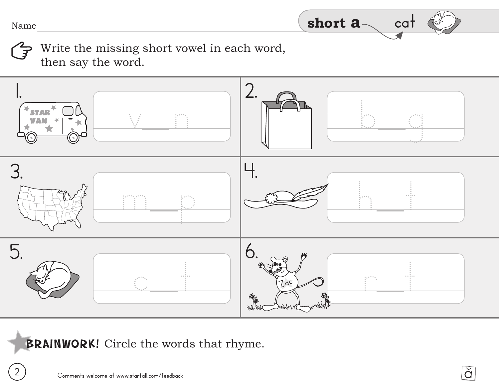**2**

Write the missing short vowel in each word,  $\mathcal{Z}$ then say the word.



BRAINWORK! Circle the words that rhyme.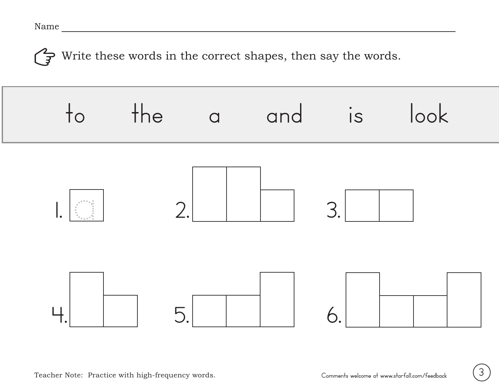Write these words in the correct shapes, then say the words. (3

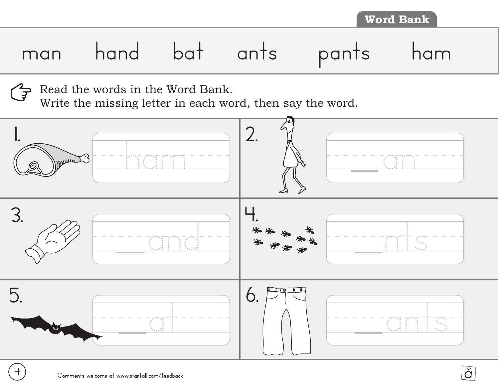Read the words in the Word Bank.  $\widetilde{F}$ 

Write the missing letter in each word, then say the word.



**4**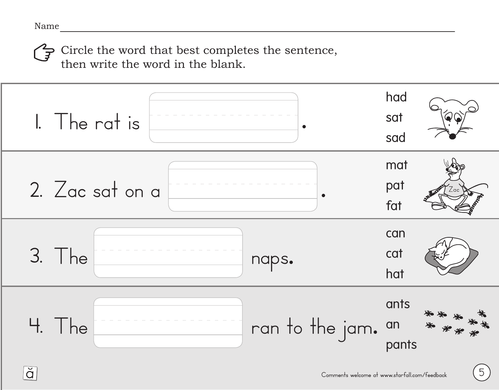Gircle the word that best completes the sentence, then write the word in the blank.



**5**